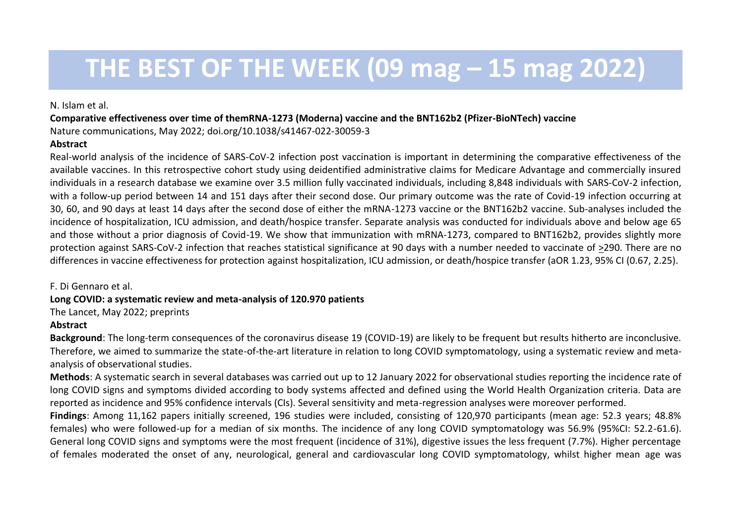# **THE BEST OF THE WEEK (09 mag – 15 mag 2022)**

#### N. Islam et al.

**Comparative effectiveness over time of themRNA-1273 (Moderna) vaccine and the BNT162b2 (Pfizer-BioNTech) vaccine** Nature communications, May 2022; doi.org/10.1038/s41467-022-30059-3

### **Abstract**

Real-world analysis of the incidence of SARS-CoV-2 infection post vaccination is important in determining the comparative effectiveness of the available vaccines. In this retrospective cohort study using deidentified administrative claims for Medicare Advantage and commercially insured individuals in a research database we examine over 3.5 million fully vaccinated individuals, including 8,848 individuals with SARS-CoV-2 infection, with a follow-up period between 14 and 151 days after their second dose. Our primary outcome was the rate of Covid-19 infection occurring at 30, 60, and 90 days at least 14 days after the second dose of either the mRNA-1273 vaccine or the BNT162b2 vaccine. Sub-analyses included the incidence of hospitalization, ICU admission, and death/hospice transfer. Separate analysis was conducted for individuals above and below age 65 and those without a prior diagnosis of Covid-19. We show that immunization with mRNA-1273, compared to BNT162b2, provides slightly more protection against SARS-CoV-2 infection that reaches statistical significance at 90 days with a number needed to vaccinate of >290. There are no differences in vaccine effectiveness for protection against hospitalization, ICU admission, or death/hospice transfer (aOR 1.23, 95% CI (0.67, 2.25).

### F. Di Gennaro et al.

### **Long COVID: a systematic review and meta-analysis of 120.970 patients**

The Lancet, May 2022; preprints

## **Abstract**

**Background**: The long-term consequences of the coronavirus disease 19 (COVID-19) are likely to be frequent but results hitherto are inconclusive. Therefore, we aimed to summarize the state-of-the-art literature in relation to long COVID symptomatology, using a systematic review and metaanalysis of observational studies.

**Methods**: A systematic search in several databases was carried out up to 12 January 2022 for observational studies reporting the incidence rate of long COVID signs and symptoms divided according to body systems affected and defined using the World Health Organization criteria. Data are reported as incidence and 95% confidence intervals (CIs). Several sensitivity and meta-regression analyses were moreover performed.

**Findings**: Among 11,162 papers initially screened, 196 studies were included, consisting of 120,970 participants (mean age: 52.3 years; 48.8% females) who were followed-up for a median of six months. The incidence of any long COVID symptomatology was 56.9% (95%CI: 52.2-61.6). General long COVID signs and symptoms were the most frequent (incidence of 31%), digestive issues the less frequent (7.7%). Higher percentage of females moderated the onset of any, neurological, general and cardiovascular long COVID symptomatology, whilst higher mean age was